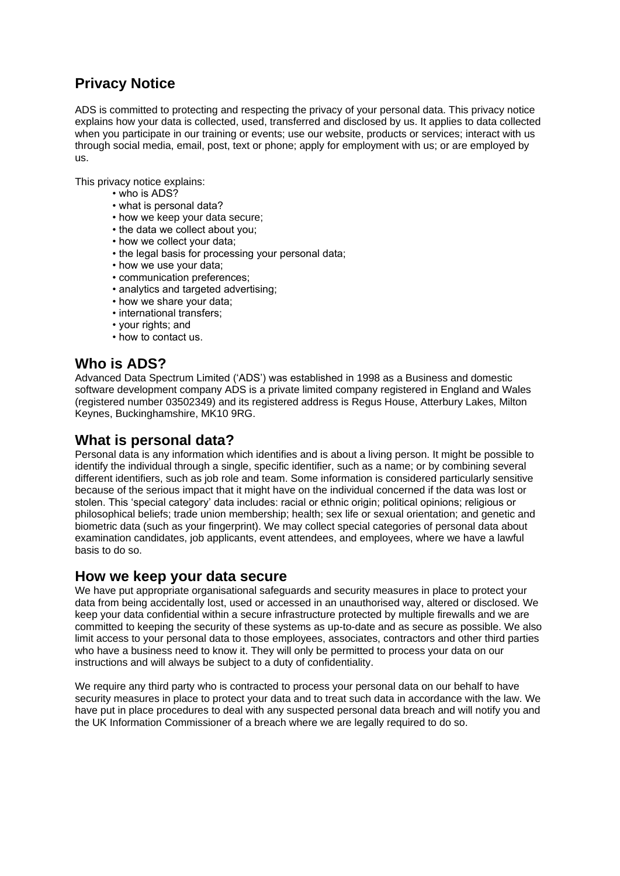# **Privacy Notice**

ADS is committed to protecting and respecting the privacy of your personal data. This privacy notice explains how your data is collected, used, transferred and disclosed by us. It applies to data collected when you participate in our training or events; use our website, products or services; interact with us through social media, email, post, text or phone; apply for employment with us; or are employed by us.

This privacy notice explains:

- who is ADS?
- what is personal data?
- how we keep your data secure;
- the data we collect about you;
- how we collect your data;
- the legal basis for processing your personal data;
- how we use your data;
- communication preferences;
- analytics and targeted advertising;
- how we share your data;
- international transfers;
- your rights; and
- how to contact us.

## **Who is ADS?**

Advanced Data Spectrum Limited ('ADS') was established in 1998 as a Business and domestic software development company ADS is a private limited company registered in England and Wales (registered number 03502349) and its registered address is Regus House, Atterbury Lakes, Milton Keynes, Buckinghamshire, MK10 9RG.

## **What is personal data?**

Personal data is any information which identifies and is about a living person. It might be possible to identify the individual through a single, specific identifier, such as a name; or by combining several different identifiers, such as job role and team. Some information is considered particularly sensitive because of the serious impact that it might have on the individual concerned if the data was lost or stolen. This 'special category' data includes: racial or ethnic origin; political opinions; religious or philosophical beliefs; trade union membership; health; sex life or sexual orientation; and genetic and biometric data (such as your fingerprint). We may collect special categories of personal data about examination candidates, job applicants, event attendees, and employees, where we have a lawful basis to do so.

## **How we keep your data secure**

We have put appropriate organisational safeguards and security measures in place to protect your data from being accidentally lost, used or accessed in an unauthorised way, altered or disclosed. We keep your data confidential within a secure infrastructure protected by multiple firewalls and we are committed to keeping the security of these systems as up-to-date and as secure as possible. We also limit access to your personal data to those employees, associates, contractors and other third parties who have a business need to know it. They will only be permitted to process your data on our instructions and will always be subject to a duty of confidentiality.

We require any third party who is contracted to process your personal data on our behalf to have security measures in place to protect your data and to treat such data in accordance with the law. We have put in place procedures to deal with any suspected personal data breach and will notify you and the UK Information Commissioner of a breach where we are legally required to do so.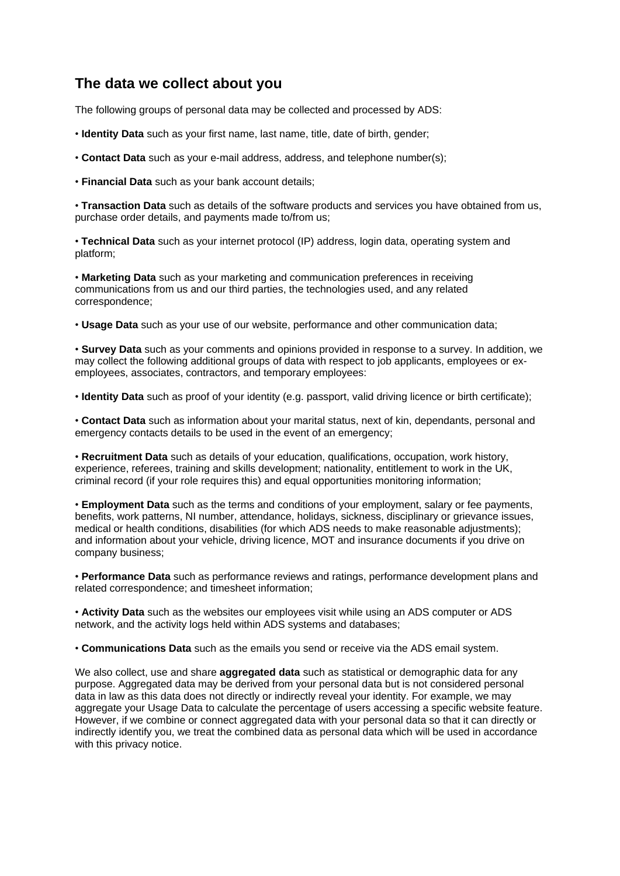# **The data we collect about you**

The following groups of personal data may be collected and processed by ADS:

- **Identity Data** such as your first name, last name, title, date of birth, gender;
- **Contact Data** such as your e-mail address, address, and telephone number(s);
- **Financial Data** such as your bank account details;

• **Transaction Data** such as details of the software products and services you have obtained from us, purchase order details, and payments made to/from us;

• **Technical Data** such as your internet protocol (IP) address, login data, operating system and platform;

• **Marketing Data** such as your marketing and communication preferences in receiving communications from us and our third parties, the technologies used, and any related correspondence;

• **Usage Data** such as your use of our website, performance and other communication data;

• **Survey Data** such as your comments and opinions provided in response to a survey. In addition, we may collect the following additional groups of data with respect to job applicants, employees or exemployees, associates, contractors, and temporary employees:

• **Identity Data** such as proof of your identity (e.g. passport, valid driving licence or birth certificate);

• **Contact Data** such as information about your marital status, next of kin, dependants, personal and emergency contacts details to be used in the event of an emergency;

• **Recruitment Data** such as details of your education, qualifications, occupation, work history, experience, referees, training and skills development; nationality, entitlement to work in the UK, criminal record (if your role requires this) and equal opportunities monitoring information;

• **Employment Data** such as the terms and conditions of your employment, salary or fee payments, benefits, work patterns, NI number, attendance, holidays, sickness, disciplinary or grievance issues, medical or health conditions, disabilities (for which ADS needs to make reasonable adjustments); and information about your vehicle, driving licence, MOT and insurance documents if you drive on company business;

• **Performance Data** such as performance reviews and ratings, performance development plans and related correspondence; and timesheet information;

• **Activity Data** such as the websites our employees visit while using an ADS computer or ADS network, and the activity logs held within ADS systems and databases;

• **Communications Data** such as the emails you send or receive via the ADS email system.

We also collect, use and share **aggregated data** such as statistical or demographic data for any purpose. Aggregated data may be derived from your personal data but is not considered personal data in law as this data does not directly or indirectly reveal your identity. For example, we may aggregate your Usage Data to calculate the percentage of users accessing a specific website feature. However, if we combine or connect aggregated data with your personal data so that it can directly or indirectly identify you, we treat the combined data as personal data which will be used in accordance with this privacy notice.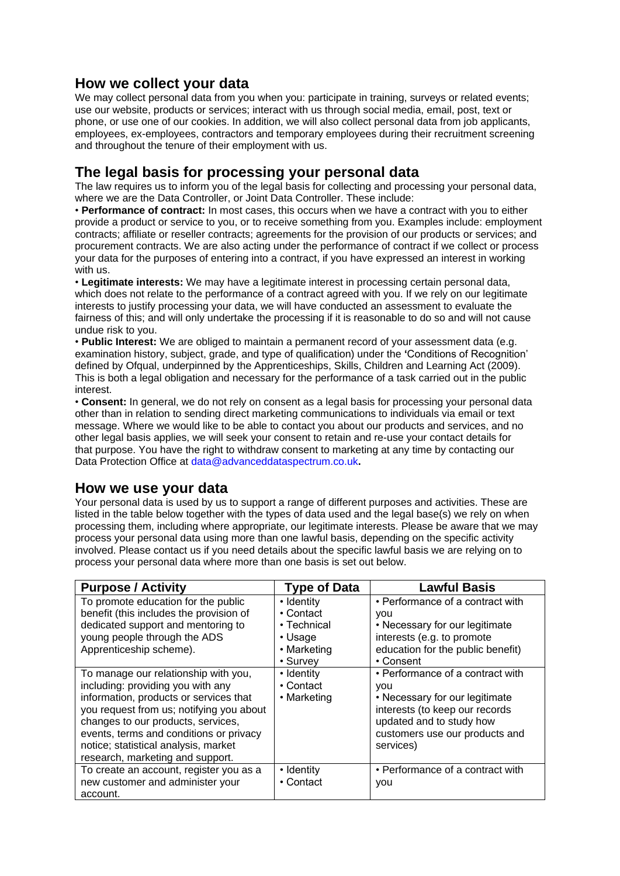# **How we collect your data**

We may collect personal data from you when you: participate in training, surveys or related events; use our website, products or services; interact with us through social media, email, post, text or phone, or use one of our cookies. In addition, we will also collect personal data from job applicants, employees, ex-employees, contractors and temporary employees during their recruitment screening and throughout the tenure of their employment with us.

# **The legal basis for processing your personal data**

The law requires us to inform you of the legal basis for collecting and processing your personal data, where we are the Data Controller, or Joint Data Controller. These include:

• **Performance of contract:** In most cases, this occurs when we have a contract with you to either provide a product or service to you, or to receive something from you. Examples include: employment contracts; affiliate or reseller contracts; agreements for the provision of our products or services; and procurement contracts. We are also acting under the performance of contract if we collect or process your data for the purposes of entering into a contract, if you have expressed an interest in working with us.

• **Legitimate interests:** We may have a legitimate interest in processing certain personal data, which does not relate to the performance of a contract agreed with you. If we rely on our legitimate interests to justify processing your data, we will have conducted an assessment to evaluate the fairness of this; and will only undertake the processing if it is reasonable to do so and will not cause undue risk to you.

• **Public Interest:** We are obliged to maintain a permanent record of your assessment data (e.g. examination history, subject, grade, and type of qualification) under the **'**Conditions of Recognition' defined by Ofqual, underpinned by the Apprenticeships, Skills, Children and Learning Act (2009). This is both a legal obligation and necessary for the performance of a task carried out in the public interest.

• **Consent:** In general, we do not rely on consent as a legal basis for processing your personal data other than in relation to sending direct marketing communications to individuals via email or text message. Where we would like to be able to contact you about our products and services, and no other legal basis applies, we will seek your consent to retain and re-use your contact details for that purpose. You have the right to withdraw consent to marketing at any time by contacting our Data Protection Office at data@advanceddataspectrum.co.uk**.**

## **How we use your data**

Your personal data is used by us to support a range of different purposes and activities. These are listed in the table below together with the types of data used and the legal base(s) we rely on when processing them, including where appropriate, our legitimate interests. Please be aware that we may process your personal data using more than one lawful basis, depending on the specific activity involved. Please contact us if you need details about the specific lawful basis we are relying on to process your personal data where more than one basis is set out below.

| <b>Purpose / Activity</b>                | <b>Type of Data</b> | <b>Lawful Basis</b>               |
|------------------------------------------|---------------------|-----------------------------------|
| To promote education for the public      | • Identity          | • Performance of a contract with  |
| benefit (this includes the provision of  | • Contact           | <b>VOU</b>                        |
| dedicated support and mentoring to       | $\cdot$ Technical   | • Necessary for our legitimate    |
| young people through the ADS             | • Usage             | interests (e.g. to promote        |
| Apprenticeship scheme).                  | • Marketing         | education for the public benefit) |
|                                          | • Survey            | • Consent                         |
| To manage our relationship with you,     | • Identity          | • Performance of a contract with  |
| including: providing you with any        | • Contact           | <b>VOU</b>                        |
| information, products or services that   | • Marketing         | • Necessary for our legitimate    |
| you request from us; notifying you about |                     | interests (to keep our records    |
| changes to our products, services,       |                     | updated and to study how          |
| events, terms and conditions or privacy  |                     | customers use our products and    |
| notice; statistical analysis, market     |                     | services)                         |
| research, marketing and support.         |                     |                                   |
| To create an account, register you as a  | • Identity          | • Performance of a contract with  |
| new customer and administer your         | • Contact           | you                               |
| account.                                 |                     |                                   |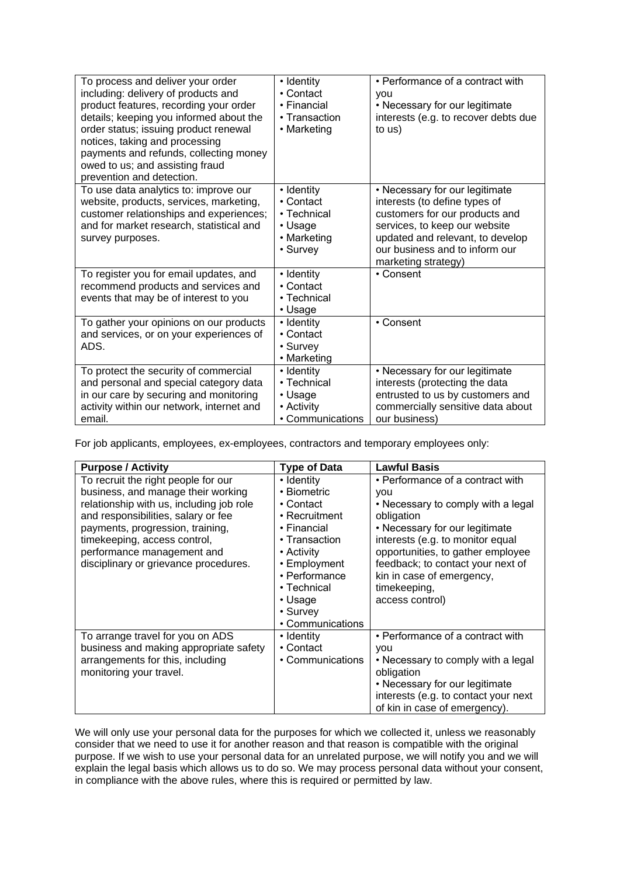| To process and deliver your order<br>including: delivery of products and<br>product features, recording your order<br>details; keeping you informed about the<br>order status; issuing product renewal<br>notices, taking and processing<br>payments and refunds, collecting money<br>owed to us; and assisting fraud<br>prevention and detection. | • Identity<br>• Contact<br>• Financial<br>• Transaction<br>• Marketing             | • Performance of a contract with<br><b>VOU</b><br>• Necessary for our legitimate<br>interests (e.g. to recover debts due<br>to us)                                                                                              |
|----------------------------------------------------------------------------------------------------------------------------------------------------------------------------------------------------------------------------------------------------------------------------------------------------------------------------------------------------|------------------------------------------------------------------------------------|---------------------------------------------------------------------------------------------------------------------------------------------------------------------------------------------------------------------------------|
| To use data analytics to: improve our<br>website, products, services, marketing,<br>customer relationships and experiences;<br>and for market research, statistical and<br>survey purposes.                                                                                                                                                        | • Identity<br>• Contact<br>$\cdot$ Technical<br>• Usage<br>• Marketing<br>• Survey | • Necessary for our legitimate<br>interests (to define types of<br>customers for our products and<br>services, to keep our website<br>updated and relevant, to develop<br>our business and to inform our<br>marketing strategy) |
| To register you for email updates, and<br>recommend products and services and<br>events that may be of interest to you                                                                                                                                                                                                                             | • Identity<br>• Contact<br>$\cdot$ Technical<br>• Usage                            | • Consent                                                                                                                                                                                                                       |
| To gather your opinions on our products<br>and services, or on your experiences of<br>ADS.                                                                                                                                                                                                                                                         | • Identity<br>• Contact<br>• Survey<br>• Marketing                                 | • Consent                                                                                                                                                                                                                       |
| To protect the security of commercial<br>and personal and special category data<br>in our care by securing and monitoring<br>activity within our network, internet and<br>email.                                                                                                                                                                   | • Identity<br>$\cdot$ Technical<br>• Usage<br>• Activity<br>• Communications       | • Necessary for our legitimate<br>interests (protecting the data<br>entrusted to us by customers and<br>commercially sensitive data about<br>our business)                                                                      |

For job applicants, employees, ex-employees, contractors and temporary employees only:

| <b>Purpose / Activity</b>                | <b>Type of Data</b> | <b>Lawful Basis</b>                  |
|------------------------------------------|---------------------|--------------------------------------|
| To recruit the right people for our      | • Identity          | • Performance of a contract with     |
| business, and manage their working       | • Biometric         | you                                  |
| relationship with us, including job role | • Contact           | • Necessary to comply with a legal   |
| and responsibilities, salary or fee      | • Recruitment       | obligation                           |
| payments, progression, training,         | • Financial         | • Necessary for our legitimate       |
| timekeeping, access control,             | • Transaction       | interests (e.g. to monitor equal     |
| performance management and               | • Activity          | opportunities, to gather employee    |
| disciplinary or grievance procedures.    | • Employment        | feedback; to contact your next of    |
|                                          | • Performance       | kin in case of emergency,            |
|                                          | • Technical         | timekeeping,                         |
|                                          | • Usage             | access control)                      |
|                                          | • Survey            |                                      |
|                                          | • Communications    |                                      |
| To arrange travel for you on ADS         | • Identity          | • Performance of a contract with     |
| business and making appropriate safety   | • Contact           | you                                  |
| arrangements for this, including         | • Communications    | • Necessary to comply with a legal   |
| monitoring your travel.                  |                     | obligation                           |
|                                          |                     | • Necessary for our legitimate       |
|                                          |                     | interests (e.g. to contact your next |
|                                          |                     | of kin in case of emergency).        |

We will only use your personal data for the purposes for which we collected it, unless we reasonably consider that we need to use it for another reason and that reason is compatible with the original purpose. If we wish to use your personal data for an unrelated purpose, we will notify you and we will explain the legal basis which allows us to do so. We may process personal data without your consent, in compliance with the above rules, where this is required or permitted by law.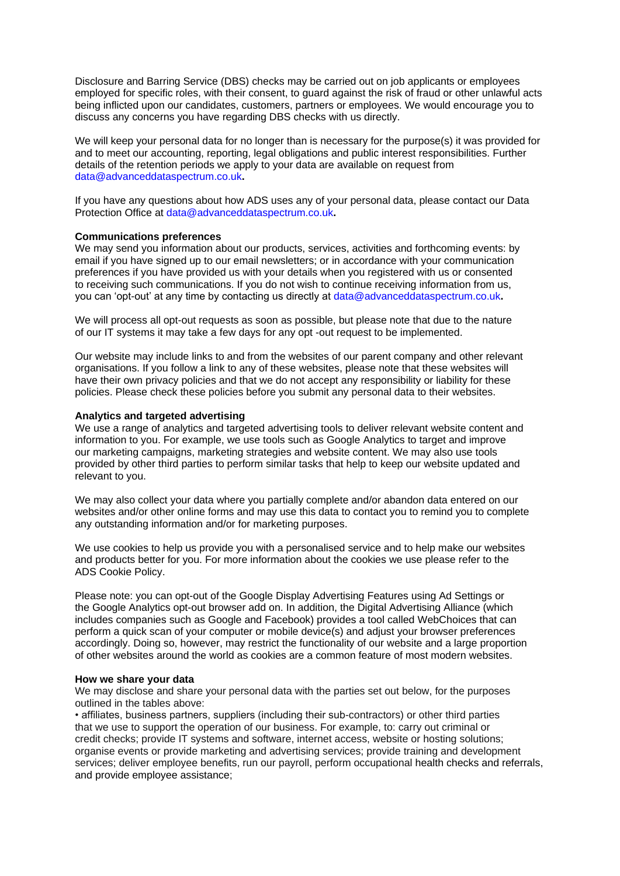Disclosure and Barring Service (DBS) checks may be carried out on job applicants or employees employed for specific roles, with their consent, to guard against the risk of fraud or other unlawful acts being inflicted upon our candidates, customers, partners or employees. We would encourage you to discuss any concerns you have regarding DBS checks with us directly.

We will keep your personal data for no longer than is necessary for the purpose(s) it was provided for and to meet our accounting, reporting, legal obligations and public interest responsibilities. Further details of the retention periods we apply to your data are available on request from data@advanceddataspectrum.co.uk**.**

If you have any questions about how ADS uses any of your personal data, please contact our Data Protection Office at data@advanceddataspectrum.co.uk**.**

#### **Communications preferences**

We may send you information about our products, services, activities and forthcoming events; by email if you have signed up to our email newsletters; or in accordance with your communication preferences if you have provided us with your details when you registered with us or consented to receiving such communications. If you do not wish to continue receiving information from us, you can 'opt-out' at any time by contacting us directly at data@advanceddataspectrum.co.uk**.**

We will process all opt-out requests as soon as possible, but please note that due to the nature of our IT systems it may take a few days for any opt -out request to be implemented.

Our website may include links to and from the websites of our parent company and other relevant organisations. If you follow a link to any of these websites, please note that these websites will have their own privacy policies and that we do not accept any responsibility or liability for these policies. Please check these policies before you submit any personal data to their websites.

### **Analytics and targeted advertising**

We use a range of analytics and targeted advertising tools to deliver relevant website content and information to you. For example, we use tools such as Google Analytics to target and improve our marketing campaigns, marketing strategies and website content. We may also use tools provided by other third parties to perform similar tasks that help to keep our website updated and relevant to you.

We may also collect your data where you partially complete and/or abandon data entered on our websites and/or other online forms and may use this data to contact you to remind you to complete any outstanding information and/or for marketing purposes.

We use cookies to help us provide you with a personalised service and to help make our websites and products better for you. For more information about the cookies we use please refer to the ADS Cookie Policy.

Please note: you can opt-out of the Google Display Advertising Features using Ad Settings or the Google Analytics opt-out browser add on. In addition, the Digital Advertising Alliance (which includes companies such as Google and Facebook) provides a tool called WebChoices that can perform a quick scan of your computer or mobile device(s) and adjust your browser preferences accordingly. Doing so, however, may restrict the functionality of our website and a large proportion of other websites around the world as cookies are a common feature of most modern websites.

#### **How we share your data**

We may disclose and share your personal data with the parties set out below, for the purposes outlined in the tables above:

• affiliates, business partners, suppliers (including their sub-contractors) or other third parties that we use to support the operation of our business. For example, to: carry out criminal or credit checks; provide IT systems and software, internet access, website or hosting solutions; organise events or provide marketing and advertising services; provide training and development services; deliver employee benefits, run our payroll, perform occupational health checks and referrals, and provide employee assistance;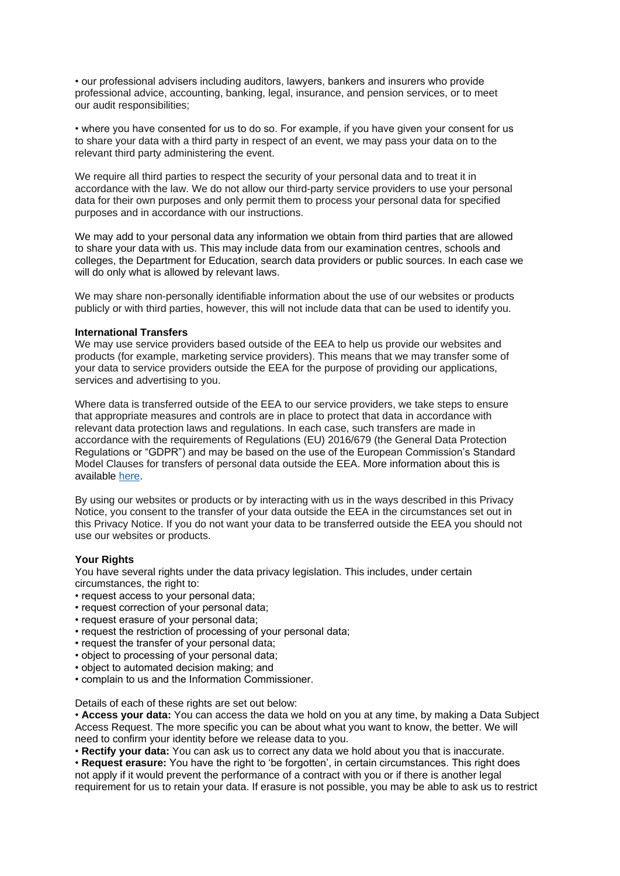• our professional advisers including auditors, lawyers, bankers and insurers who provide professional advice, accounting, banking, legal, insurance, and pension services, or to meet our audit responsibilities;

• where you have consented for us to do so. For example, if you have given your consent for us to share your data with a third party in respect of an event, we may pass your data on to the relevant third party administering the event.

We require all third parties to respect the security of your personal data and to treat it in accordance with the law. We do not allow our third-party service providers to use your personal data for their own purposes and only permit them to process your personal data for specified purposes and in accordance with our instructions.

We may add to your personal data any information we obtain from third parties that are allowed to share your data with us. This may include data from our examination centres, schools and colleges, the Department for Education, search data providers or public sources. In each case we will do only what is allowed by relevant laws.

We may share non-personally identifiable information about the use of our websites or products publicly or with third parties, however, this will not include data that can be used to identify you.

#### **International Transfers**

We may use service providers based outside of the EEA to help us provide our websites and products (for example, marketing service providers). This means that we may transfer some of your data to service providers outside the EEA for the purpose of providing our applications, services and advertising to you.

Where data is transferred outside of the EEA to our service providers, we take steps to ensure that appropriate measures and controls are in place to protect that data in accordance with relevant data protection laws and regulations. In each case, such transfers are made in accordance with the requirements of Regulations (EU) 2016/679 (the General Data Protection Regulations or "GDPR") and may be based on the use of the European Commission's Standard Model Clauses for transfers of personal data outside the EEA. More information about this is available [here.](https://eur-lex.europa.eu/legal-content/en/TXT/?uri=CELEX:32010D0087)

By using our websites or products or by interacting with us in the ways described in this Privacy Notice, you consent to the transfer of your data outside the EEA in the circumstances set out in this Privacy Notice. If you do not want your data to be transferred outside the EEA you should not use our websites or products.

### **Your Rights**

You have several rights under the data privacy legislation. This includes, under certain circumstances, the right to:

- request access to your personal data;
- request correction of your personal data;
- request erasure of your personal data;
- request the restriction of processing of your personal data;
- request the transfer of your personal data;
- object to processing of your personal data;
- object to automated decision making; and
- complain to us and the Information Commissioner.

Details of each of these rights are set out below:

• **Access your data:** You can access the data we hold on you at any time, by making a Data Subject Access Request. The more specific you can be about what you want to know, the better. We will need to confirm your identity before we release data to you.

• **Rectify your data:** You can ask us to correct any data we hold about you that is inaccurate.

• **Request erasure:** You have the right to 'be forgotten', in certain circumstances. This right does not apply if it would prevent the performance of a contract with you or if there is another legal requirement for us to retain your data. If erasure is not possible, you may be able to ask us to restrict